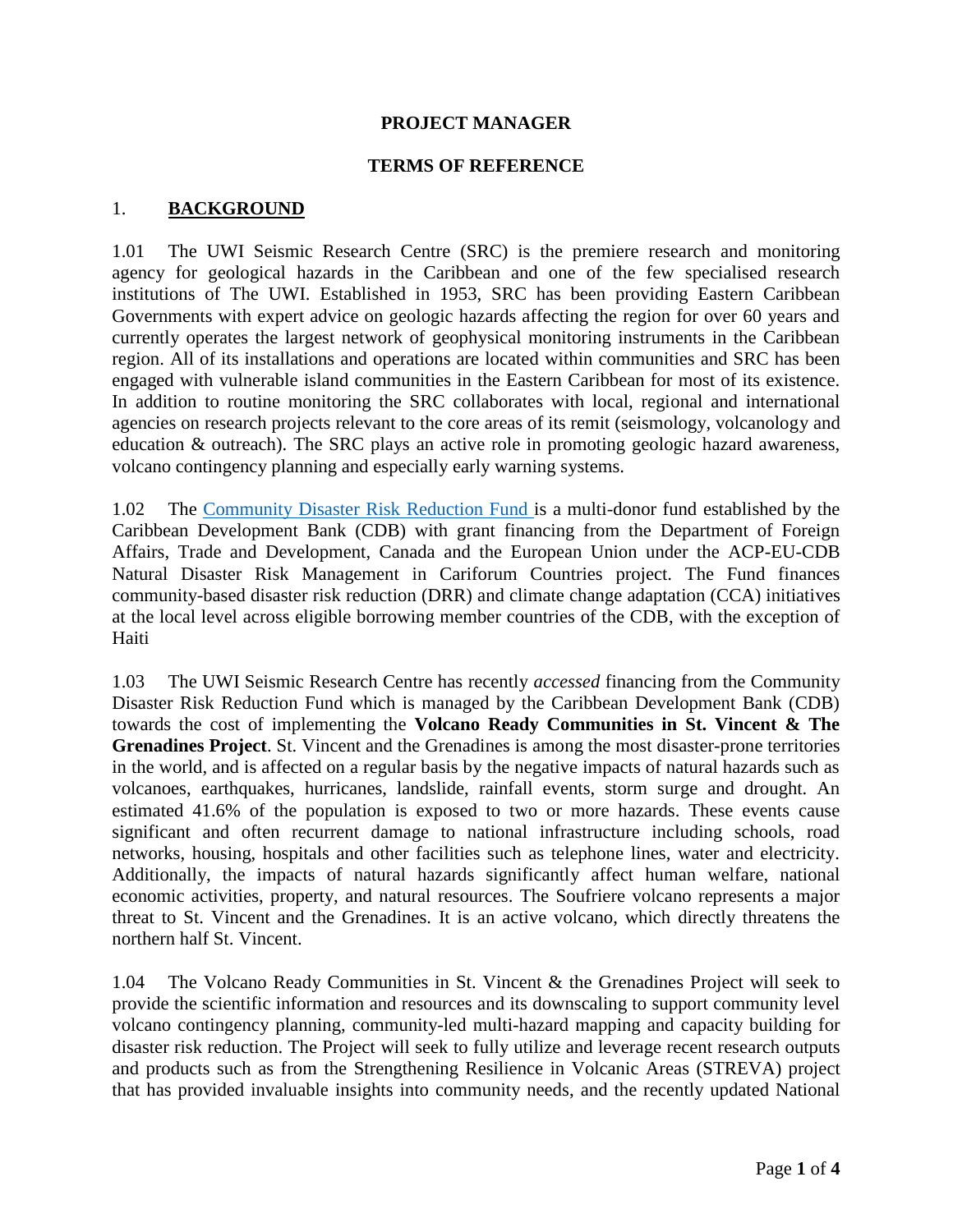### **PROJECT MANAGER**

#### **TERMS OF REFERENCE**

### 1. **BACKGROUND**

1.01 The UWI Seismic Research Centre (SRC) is the premiere research and monitoring agency for geological hazards in the Caribbean and one of the few specialised research institutions of The UWI. Established in 1953, SRC has been providing Eastern Caribbean Governments with expert advice on geologic hazards affecting the region for over 60 years and currently operates the largest network of geophysical monitoring instruments in the Caribbean region. All of its installations and operations are located within communities and SRC has been engaged with vulnerable island communities in the Eastern Caribbean for most of its existence. In addition to routine monitoring the SRC collaborates with local, regional and international agencies on research projects relevant to the core areas of its remit (seismology, volcanology and education & outreach). The SRC plays an active role in promoting geologic hazard awareness, volcano contingency planning and especially early warning systems.

1.02 The [Community Disaster Risk Reduction Fund](http://www.caribank.org/programmes/cdrr1) is a multi-donor fund established by the Caribbean Development Bank (CDB) with grant financing from the Department of Foreign Affairs, Trade and Development, Canada and the European Union under the ACP-EU-CDB Natural Disaster Risk Management in Cariforum Countries project. The Fund finances community-based disaster risk reduction (DRR) and climate change adaptation (CCA) initiatives at the local level across eligible borrowing member countries of the CDB, with the exception of Haiti

1.03 The UWI Seismic Research Centre has recently *accessed* financing from the Community Disaster Risk Reduction Fund which is managed by the Caribbean Development Bank (CDB) towards the cost of implementing the **Volcano Ready Communities in St. Vincent & The Grenadines Project**. St. Vincent and the Grenadines is among the most disaster-prone territories in the world, and is affected on a regular basis by the negative impacts of natural hazards such as volcanoes, earthquakes, hurricanes, landslide, rainfall events, storm surge and drought. An estimated 41.6% of the population is exposed to two or more hazards. These events cause significant and often recurrent damage to national infrastructure including schools, road networks, housing, hospitals and other facilities such as telephone lines, water and electricity. Additionally, the impacts of natural hazards significantly affect human welfare, national economic activities, property, and natural resources. The Soufriere volcano represents a major threat to St. Vincent and the Grenadines. It is an active volcano, which directly threatens the northern half St. Vincent.

1.04 The Volcano Ready Communities in St. Vincent & the Grenadines Project will seek to provide the scientific information and resources and its downscaling to support community level volcano contingency planning, community-led multi-hazard mapping and capacity building for disaster risk reduction. The Project will seek to fully utilize and leverage recent research outputs and products such as from the Strengthening Resilience in Volcanic Areas (STREVA) project that has provided invaluable insights into community needs, and the recently updated National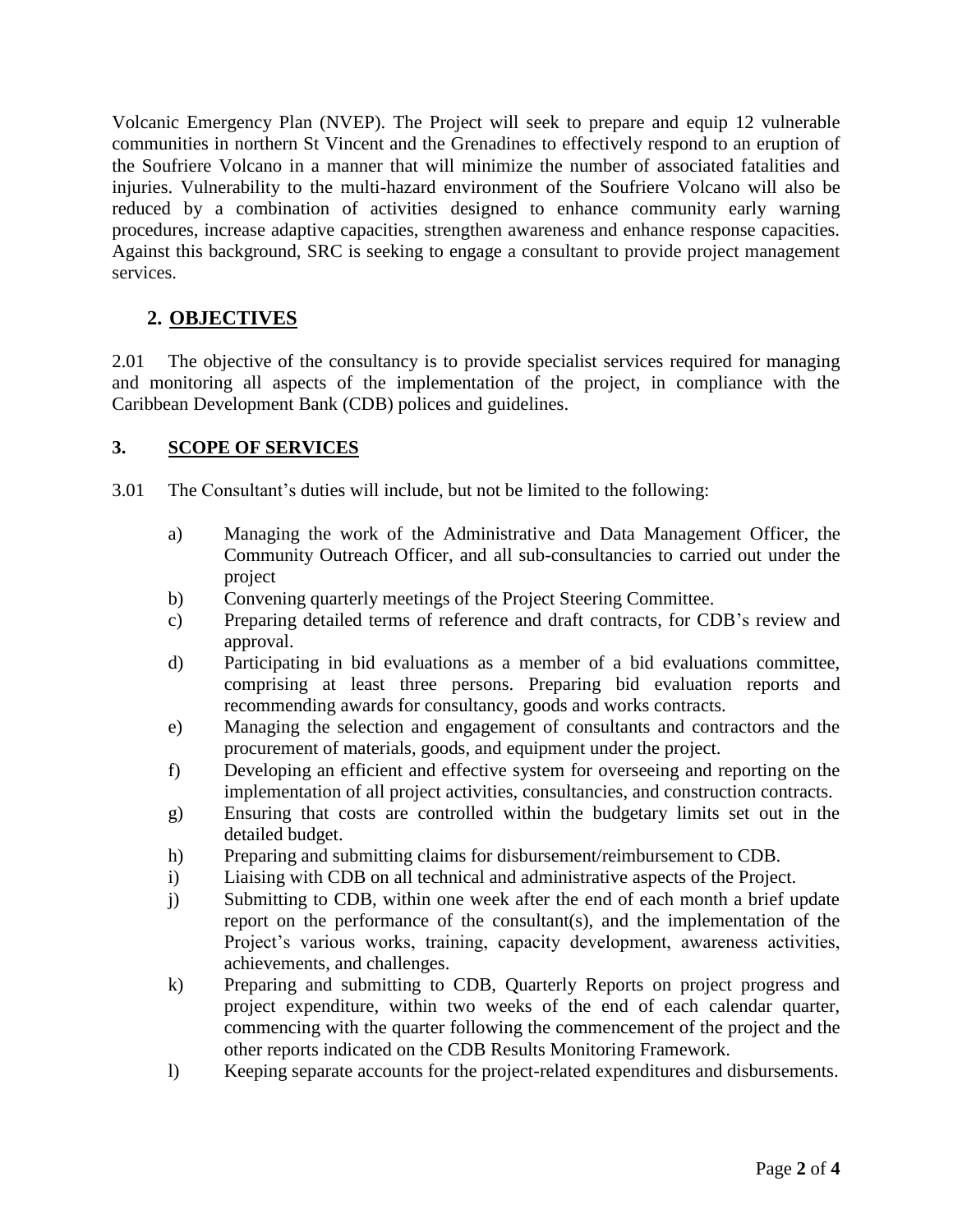Volcanic Emergency Plan (NVEP). The Project will seek to prepare and equip 12 vulnerable communities in northern St Vincent and the Grenadines to effectively respond to an eruption of the Soufriere Volcano in a manner that will minimize the number of associated fatalities and injuries. Vulnerability to the multi-hazard environment of the Soufriere Volcano will also be reduced by a combination of activities designed to enhance community early warning procedures, increase adaptive capacities, strengthen awareness and enhance response capacities. Against this background, SRC is seeking to engage a consultant to provide project management services.

# **2. OBJECTIVES**

2.01 The objective of the consultancy is to provide specialist services required for managing and monitoring all aspects of the implementation of the project, in compliance with the Caribbean Development Bank (CDB) polices and guidelines.

### **3. SCOPE OF SERVICES**

3.01 The Consultant's duties will include, but not be limited to the following:

- a) Managing the work of the Administrative and Data Management Officer, the Community Outreach Officer, and all sub-consultancies to carried out under the project
- b) Convening quarterly meetings of the Project Steering Committee.
- c) Preparing detailed terms of reference and draft contracts, for CDB's review and approval.
- d) Participating in bid evaluations as a member of a bid evaluations committee, comprising at least three persons. Preparing bid evaluation reports and recommending awards for consultancy, goods and works contracts.
- e) Managing the selection and engagement of consultants and contractors and the procurement of materials, goods, and equipment under the project.
- f) Developing an efficient and effective system for overseeing and reporting on the implementation of all project activities, consultancies, and construction contracts.
- g) Ensuring that costs are controlled within the budgetary limits set out in the detailed budget.
- h) Preparing and submitting claims for disbursement/reimbursement to CDB.
- i) Liaising with CDB on all technical and administrative aspects of the Project.
- j) Submitting to CDB, within one week after the end of each month a brief update report on the performance of the consultant(s), and the implementation of the Project's various works, training, capacity development, awareness activities, achievements, and challenges.
- k) Preparing and submitting to CDB, Quarterly Reports on project progress and project expenditure, within two weeks of the end of each calendar quarter, commencing with the quarter following the commencement of the project and the other reports indicated on the CDB Results Monitoring Framework.
- l) Keeping separate accounts for the project-related expenditures and disbursements.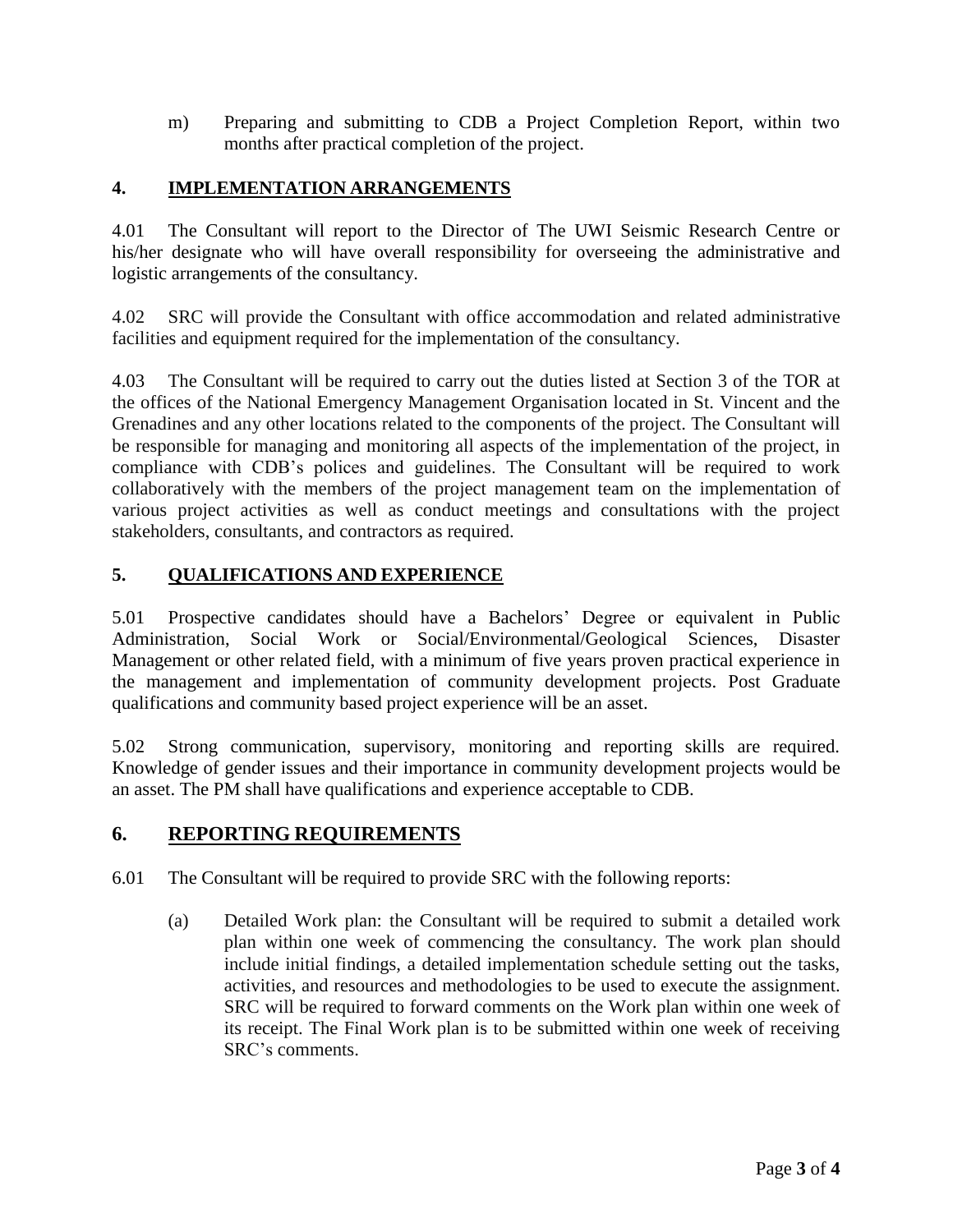m) Preparing and submitting to CDB a Project Completion Report, within two months after practical completion of the project.

### **4. IMPLEMENTATION ARRANGEMENTS**

4.01 The Consultant will report to the Director of The UWI Seismic Research Centre or his/her designate who will have overall responsibility for overseeing the administrative and logistic arrangements of the consultancy.

4.02 SRC will provide the Consultant with office accommodation and related administrative facilities and equipment required for the implementation of the consultancy.

4.03 The Consultant will be required to carry out the duties listed at Section 3 of the TOR at the offices of the National Emergency Management Organisation located in St. Vincent and the Grenadines and any other locations related to the components of the project. The Consultant will be responsible for managing and monitoring all aspects of the implementation of the project, in compliance with CDB's polices and guidelines. The Consultant will be required to work collaboratively with the members of the project management team on the implementation of various project activities as well as conduct meetings and consultations with the project stakeholders, consultants, and contractors as required.

## **5. QUALIFICATIONS AND EXPERIENCE**

5.01 Prospective candidates should have a Bachelors' Degree or equivalent in Public Administration, Social Work or Social/Environmental/Geological Sciences, Disaster Management or other related field, with a minimum of five years proven practical experience in the management and implementation of community development projects. Post Graduate qualifications and community based project experience will be an asset.

5.02 Strong communication, supervisory, monitoring and reporting skills are required. Knowledge of gender issues and their importance in community development projects would be an asset. The PM shall have qualifications and experience acceptable to CDB.

## **6. REPORTING REQUIREMENTS**

- 6.01 The Consultant will be required to provide SRC with the following reports:
	- (a) Detailed Work plan: the Consultant will be required to submit a detailed work plan within one week of commencing the consultancy. The work plan should include initial findings, a detailed implementation schedule setting out the tasks, activities, and resources and methodologies to be used to execute the assignment. SRC will be required to forward comments on the Work plan within one week of its receipt. The Final Work plan is to be submitted within one week of receiving SRC's comments.